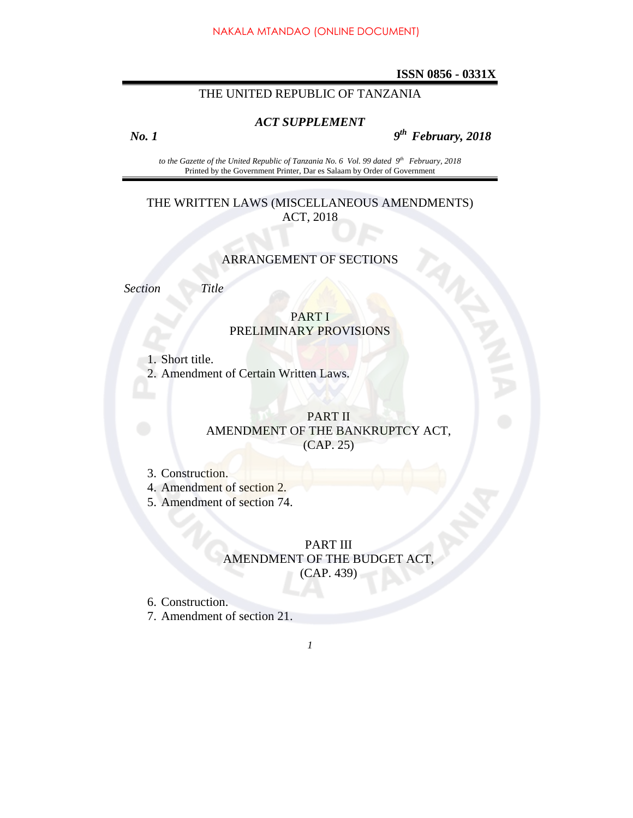#### **ISSN 0856 - 0331X**

## THE UNITED REPUBLIC OF TANZANIA

#### *ACT SUPPLEMENT*

 *No. 1 9th February, 2018* 

to the Gazette of the United Republic of Tanzania No. 6 Vol. 99 dated 9<sup>th</sup> February, 2018 Printed by the Government Printer, Dar es Salaam by Order of Government

#### THE WRITTEN LAWS (MISCELLANEOUS AMENDMENTS) ACT, 2018

#### ARRANGEMENT OF SECTIONS

*Section Title* 

## PART I PRELIMINARY PROVISIONS

1. Short title.

2. Amendment of Certain Written Laws.

## PART II AMENDMENT OF THE BANKRUPTCY ACT, (CAP. 25)

- 3. Construction.
- 4. Amendment of section 2.
- 5. Amendment of section 74.

### PART III AMENDMENT OF THE BUDGET ACT, (CAP. 439)

6. Construction.

7. Amendment of section 21.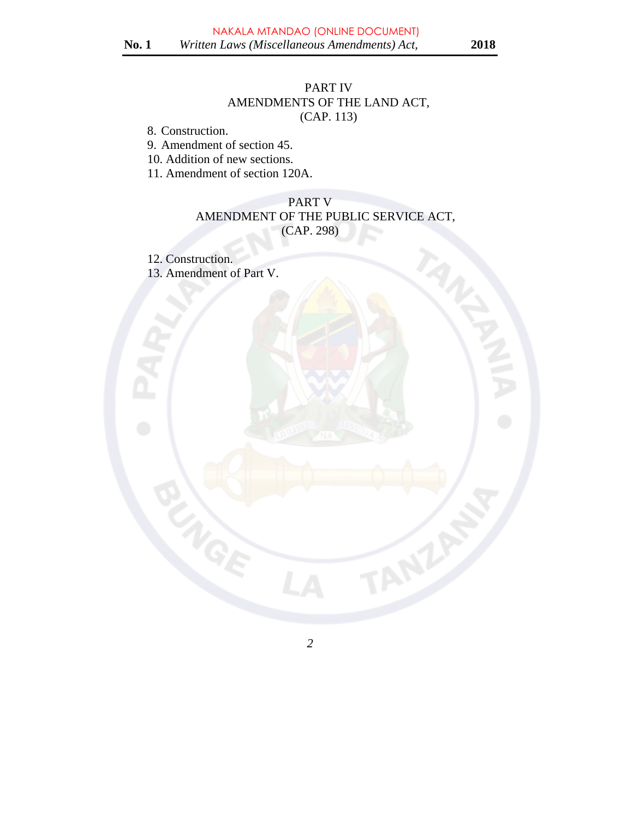# PART IV AMENDMENTS OF THE LAND ACT, (CAP. 113)

8. Construction.

9. Amendment of section 45.

10. Addition of new sections.

11. Amendment of section 120A.

# PART V AMENDMENT OF THE PUBLIC SERVICE ACT, (CAP. 298)

12. Construction.

13. Amendment of Part V.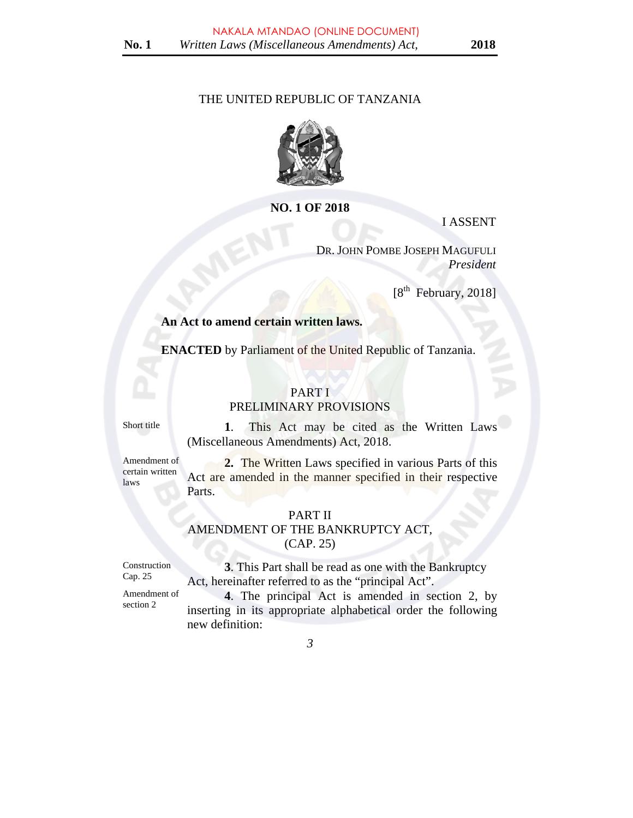#### THE UNITED REPUBLIC OF TANZANIA



### **NO. 1 OF 2018**

I ASSENT

DR. JOHN POMBE JOSEPH MAGUFULI *President* 

[8th February, 2018]

#### **An Act to amend certain written laws.**

**ENACTED** by Parliament of the United Republic of Tanzania.

# PART I

#### PRELIMINARY PROVISIONS

Short title **1**. This Act may be cited as the Written Laws (Miscellaneous Amendments) Act, 2018.

Amendment of certain written laws

**2.** The Written Laws specified in various Parts of this Act are amended in the manner specified in their respective Parts.

# PART II

# AMENDMENT OF THE BANKRUPTCY ACT,

(CAP. 25)

Construction Cap. 25

 **3**. This Part shall be read as one with the Bankruptcy Act, hereinafter referred to as the "principal Act".

Amendment of section 2

 **4**. The principal Act is amended in section 2, by inserting in its appropriate alphabetical order the following new definition: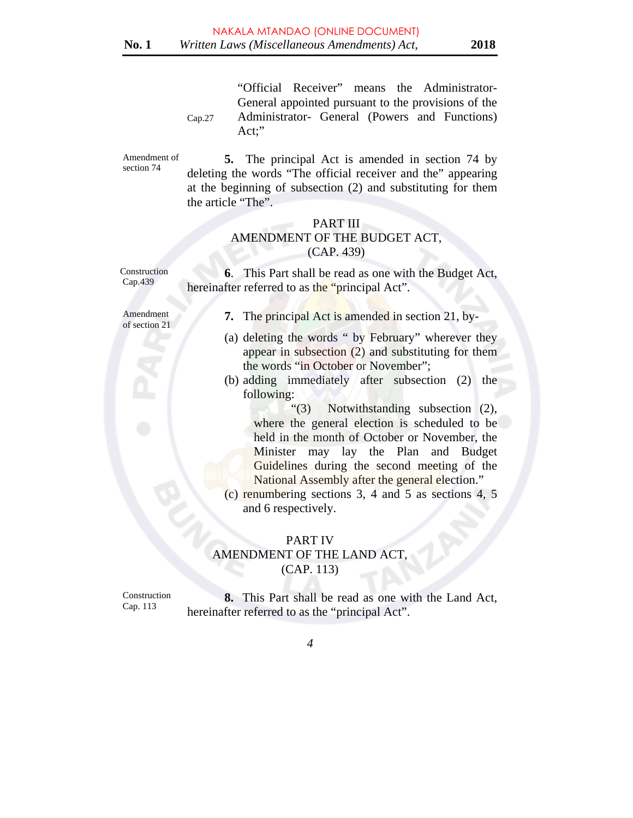Cap.27 "Official Receiver" means the Administrator-General appointed pursuant to the provisions of the Administrator- General (Powers and Functions) Act;"

Amendment of section 74

**5.** The principal Act is amended in section 74 by deleting the words "The official receiver and the" appearing at the beginning of subsection (2) and substituting for them the article "The".

## PART III AMENDMENT OF THE BUDGET ACT, (CAP. 439)

hereinafter referred to as the "principal Act".

Construction Cap.439

Amendment of section 21 **7.** The principal Act is amended in section 21, by-

 **6**. This Part shall be read as one with the Budget Act,

- (a) deleting the words " by February" wherever they appear in subsection (2) and substituting for them the words "in October or November";
- (b) adding immediately after subsection (2) the following:

 "(3) Notwithstanding subsection (2), where the general election is scheduled to be held in the month of October or November, the Minister may lay the Plan and Budget Guidelines during the second meeting of the National Assembly after the general election."

(c) renumbering sections 3, 4 and 5 as sections 4, 5 and 6 respectively.

PART IV

AMENDMENT OF THE LAND ACT, (CAP. 113)

Construction Cap. 113

**8.** This Part shall be read as one with the Land Act, hereinafter referred to as the "principal Act".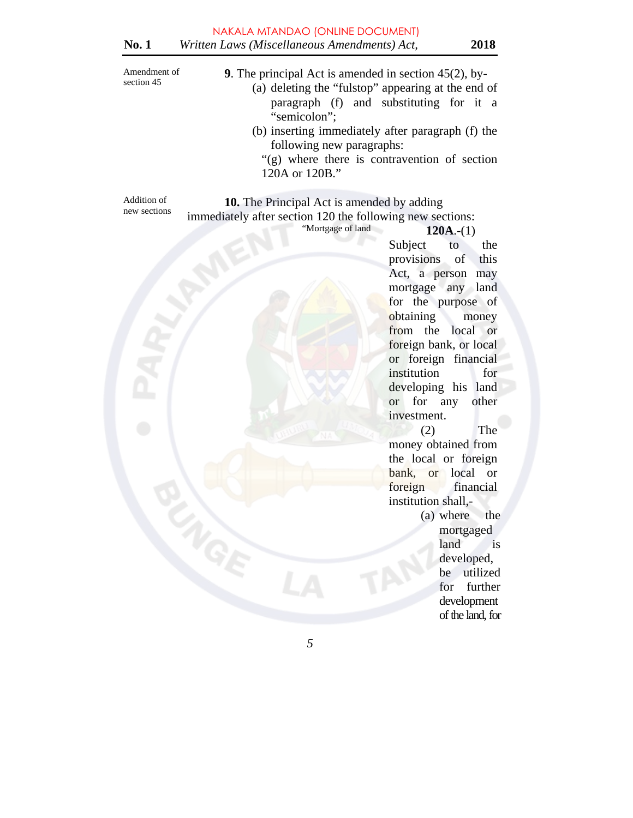| Amendment of<br>section 45  | 9. The principal Act is amended in section $45(2)$ , by-<br>(a) deleting the "fulstop" appearing at the end of<br>paragraph (f) and substituting for it a<br>"semicolon"; |
|-----------------------------|---------------------------------------------------------------------------------------------------------------------------------------------------------------------------|
|                             | (b) inserting immediately after paragraph (f) the<br>following new paragraphs:<br>"(g) where there is contravention of section<br>120A or 120B."                          |
| Addition of<br>new sections | <b>10.</b> The Principal Act is amended by adding<br>immediately after section 120 the following new sections:<br>"Mortgage of land<br>$120A-(1)$<br>Subiect<br>the<br>tΩ |

Subject to the provisions of this Act, a person may mortgage any land for the purpose of obtaining money from the local or foreign bank, or local or foreign financial institution for developing his land or for any other investment.

(2) The money obtained from the local or foreign bank, or local or foreign financial institution shall,-

> (a) where the mortgaged land is developed, be utilized for further development of the land, for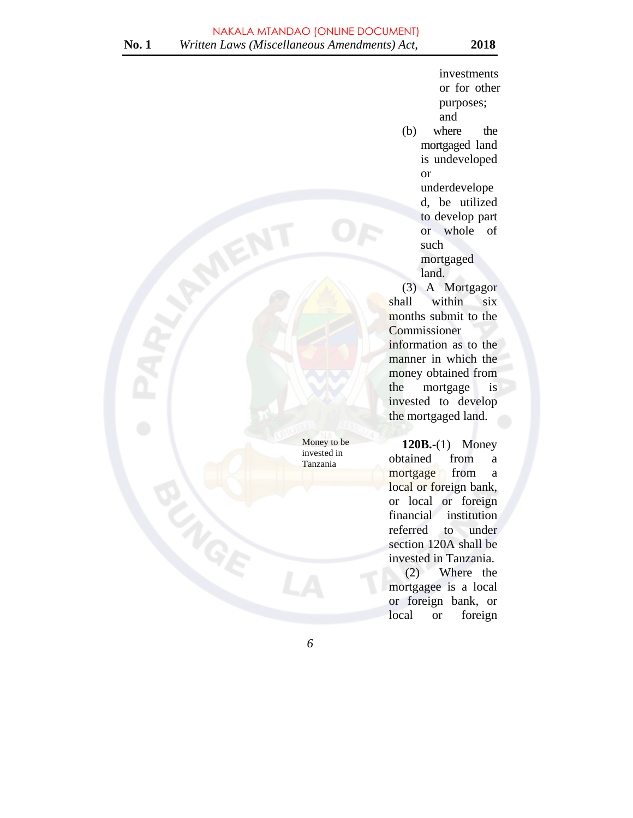investments or for other purposes; and (b) where the mortgaged land is undeveloped or underdevelope d, be utilized to develop part or whole of such mortgaged land.

we utilized<br>to develop part<br>or whole of<br>such<br>mortgaged<br>land.<br>(3) A Mortgagor<br>shall within<br>morte by the property of the such and the such and the such a mortgage of the such as the such as the such as the such as the such a shall within six months submit to the **Commissioner** information as to the manner in which the money obtained from the mortgage is invested to develop the mortgaged land.

**120B.-**(1) Money obtained from a mortgage from a local or foreign bank, or local or foreign financial institution referred to under section 120A shall be invested in Tanzania. FREETIEL<br>
SECTION 120A Shan Lex<br>
invested in Tanzania.<br>
(2) Where the<br>
mortgage is a local

mortgagee is a local or foreign bank, or local or foreign

*6* 

 Money to be invested in Tanzania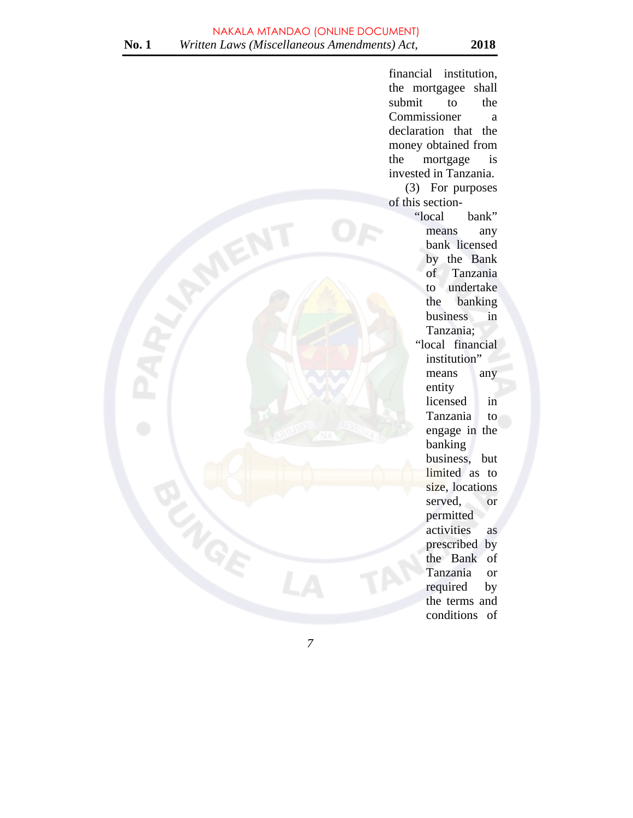financial institution, the mortgagee shall submit to the Commissioner a declaration that the money obtained from the mortgage is invested in Tanzania. (3) For purposes of this section- "local bank" means any bank licensed by the Bank of Tanzania to undertake the banking business in Tanzania; "local financial institution" means any entity licensed in Tanzania to engage in the banking business, but limited as to size, locations served, or permitted activities as prescribed by the Bank of Tanzania or required by the terms and conditions of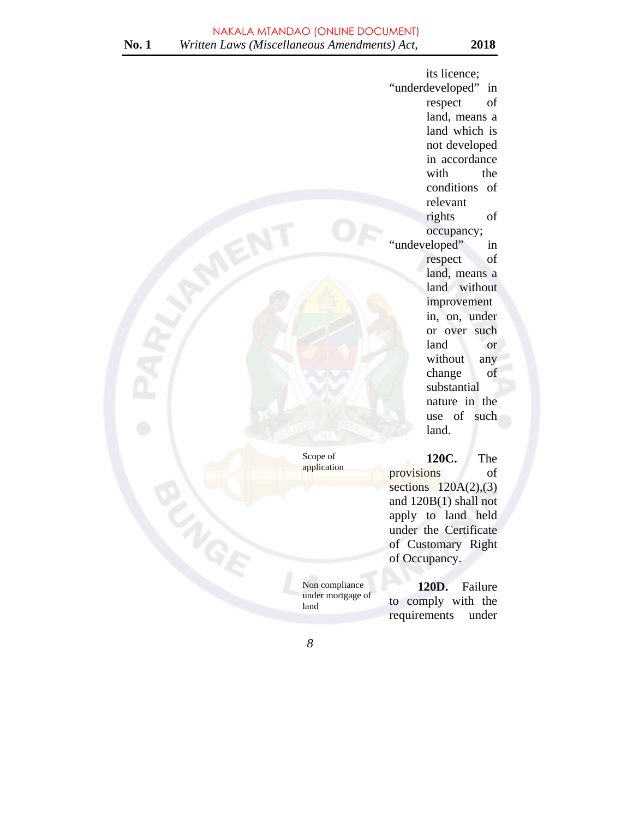its licence; "underdeveloped" in respect of land, means a land which is not developed in accordance with the conditions of relevant rights of occupancy;<br>"undeveloped" Exercise the contract of the contract of the company of the company of the company of the company of the company of the company of the company of the company of the company of the company of the company of the company of t respect of land, means a land without improvement in, on, under or over such land or without any change of substantial nature in the use of such land.

> **120C.** The provisions of sections  $120A(2),(3)$ and 120B(1) shall not apply to land held under the Certificate of Customary Right of Occupancy.

**120D.** Failure to comply with the requirements under

 Scope of application

under mortgage of

*8* 

land

Non compliance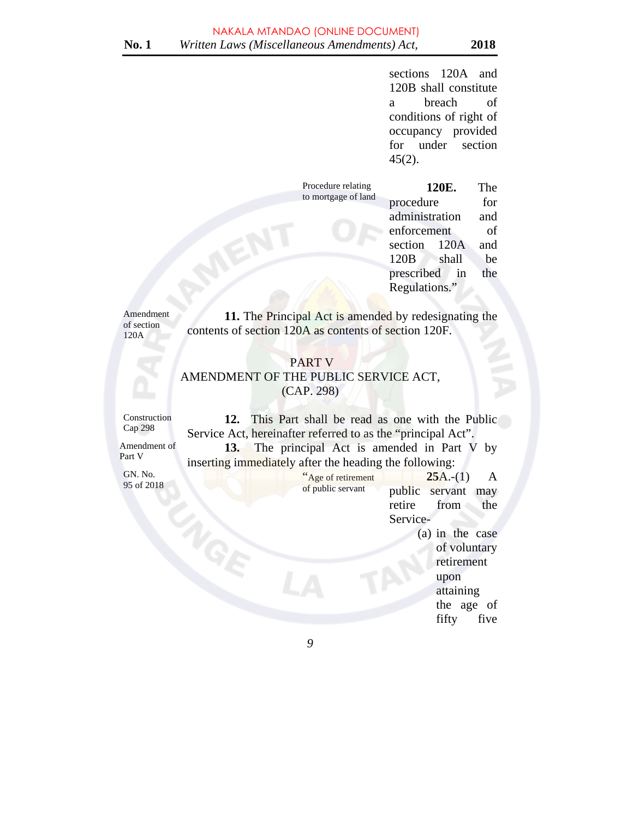sections 120A and 120B shall constitute a breach of conditions of right of occupancy provided for under section 45(2).

 Procedure relating to mortgage of land **120E.** The procedure for administration and enforcement of section 120A and 120B shall be prescribed in the Regulations."

Amendment of section 120A

 **11.** The Principal Act is amended by redesignating the contents of section 120A as contents of section 120F.

# PART V AMENDMENT OF THE PUBLIC SERVICE ACT, (CAP. 298)

Construction Cap 298

**12.** This Part shall be read as one with the Public Service Act, hereinafter referred to as the "principal Act". **13.** The principal Act is amended in Part V by inserting immediately after the heading the following:

Amendment of Part V

GN. No. 95 of 2018  "Age of retirement of public servant **25**A.-(1) A public servant may retire from the Service-

(a) in the case<br>of voluntary<br>retirement<br>when of voluntary retirement upon attaining the age of fifty five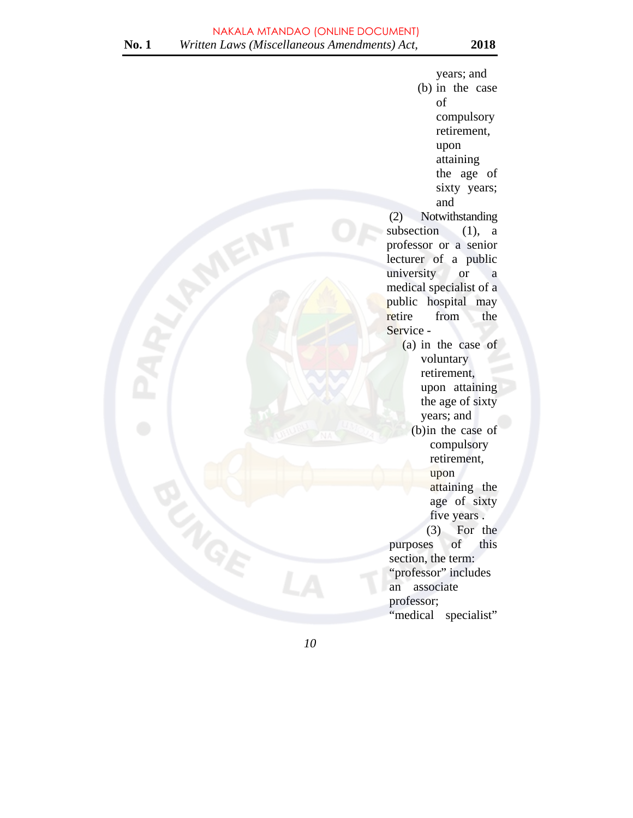years; and (b) in the case of compulsory retirement, upon attaining the age of sixty years; and (2) Notwithstanding subsection  $(1)$ , a professor or a senior lecturer of a public university or a medical specialist of a public hospital may retire from the Service - (a) in the case of voluntary retirement, upon attaining the age of sixty years; and  $\sum_{n=1}^{\infty}$  (b) in the case of compulsory retirement, upon attaining the age of sixty five years . (3) For the purposes of this section, the term:<br>"professor" includes "professor" includes an associate professor; "medical specialist"